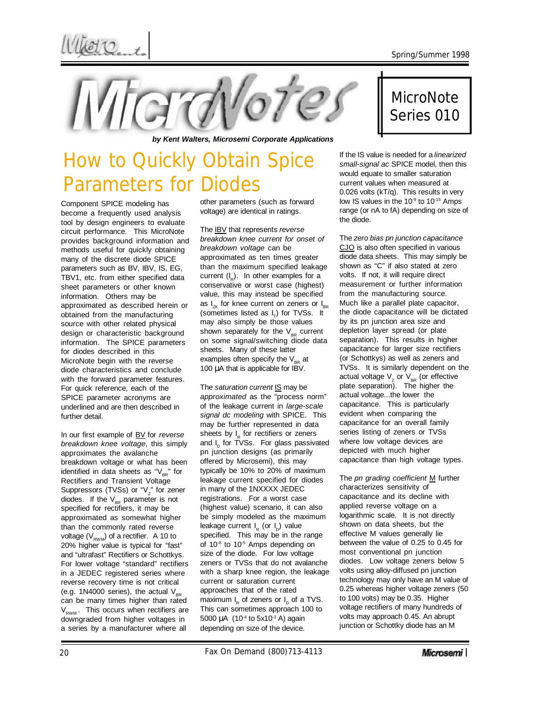*by Kent Walters, Microsemi Corporate Applications*

## How to Quickly Obtain Spice Parameters for Diodes

Component SPICE modeling has become a frequently used analysis tool by design engineers to evaluate circuit performance. This MicroNote provides background information and methods useful for quickly obtaining many of the discrete diode SPICE parameters such as BV, IBV, IS, EG, TBV1, etc. from either specified data sheet parameters or other known information. Others may be approximated as described herein or obtained from the manufacturing source with other related physical design or characteristic background information. The SPICE parameters for diodes described in this MicroNote begin with the reverse diode characteristics and conclude with the forward parameter features. For quick reference, each of the SPICE parameter acronyms are underlined and are then described in further detail.

In our first example of BV for *reverse breakdown knee voltage*, this simply approximates the avalanche breakdown voltage or what has been identified in data sheets as " $V_{BR}$ " for Rectifiers and Transient Voltage Suppressors (TVSs) or " $V_z$ " for zener diodes. If the  $V_{BR}$  parameter is not specified for rectifiers, it may be approximated as somewhat higher than the commonly rated reverse voltage  $(V_{\text{RWM}})$  of a rectifier. A 10 to 20% higher value is typical for "fast" and "ultrafast" Rectifiers or Schottkys. For lower voltage "standard" rectifiers in a JEDEC registered series where reverse recovery time is not critical (e.g. 1N4000 series), the actual  $V_{\text{BB}}$ can be many times higher than rated  $V<sub>RWM</sub>$ . This occurs when rectifiers are downgraded from higher voltages in a series by a manufacturer where all

other parameters (such as forward voltage) are identical in ratings.

The IBV that represents *reverse breakdown knee current for onset of breakdown voltage* can be approximated as ten times greater than the maximum specified leakage current (I<sub>R</sub>). In other examples for a conservative or worst case (highest) value, this may instead be specified as  $I_{7k}$  for knee current on zeners or  $I_{BR}$ (sometimes listed as  $I_{\tau}$ ) for TVSs. It may also simply be those values shown separately for the  $V_{\text{BB}}$  current on some signal/switching diode data sheets. Many of these latter examples often specify the  $V_{\text{p}}$  at 100 μA that is applicable for IBV.

The *saturation current* IS may be *approximated* as the "process norm" of the leakage current in *large-scale signal dc modeling* with SPICE. This may be further represented in data sheets by I<sub>R</sub> for rectifiers or zeners and I<sub>b</sub> for TVSs. For glass passivated pn junction designs (as primarily offered by Microsemi), this may typically be 10% to 20% of maximum leakage current specified for diodes in many of the 1NXXXX JEDEC registrations. For a worst case (highest value) scenario, it can also be simply modeled as the maximum leakage current l<sub>R</sub> (or l<sub>D</sub>) value specified. This may be in the range of 10<sup>-8</sup> to 10<sup>-5</sup> Amps depending on size of the diode. For low voltage zeners or TVSs that do not avalanche with a sharp knee region, the leakage current or saturation current approaches that of the rated maximum  $I_R$  of zeners or  $I_D$  of a TVS. This can sometimes approach 100 to 5000  $\mu$ A (10<sup>-4</sup> to 5x10<sup>-3</sup> A) again depending on size of the device.

## MicroNote Series 010

If the IS value is needed for a *linearized small-signal ac* SPICE model, then this would equate to smaller saturation current values when measured at 0.026 volts (kT/q). This results in very low IS values in the 10<sup>-9</sup> to 10<sup>-15</sup> Amps range (or nA to fA) depending on size of the diode.

The *zero bias pn junction capacitance* CJO is also often specified in various diode data sheets. This may simply be shown as "C" if also stated at zero volts. If not, it will require direct measurement or further information from the manufacturing source. Much like a parallel plate capacitor, the diode capacitance will be dictated by its pn junction area size and depletion layer spread (or plate separation). This results in higher capacitance for larger size rectifiers (or Schottkys) as well as zeners and TVSs. It is similarly dependent on the actual voltage  $V<sub>z</sub>$  or  $V<sub>BR</sub>$  (or effective plate separation). The higher the actual voltage...the lower the capacitance. This is particularly evident when comparing the capacitance for an overall family series listing of zeners or TVSs where low voltage devices are depicted with much higher capacitance than high voltage types.

The *pn grading coefficient* M further characterizes sensitivity of capacitance and its decline with applied reverse voltage on a logarithmic scale. It is not directly shown on data sheets, but the effective M values generally lie between the value of 0.25 to 0.45 for most conventional pn junction diodes. Low voltage zeners below 5 volts using alloy-diffused pn junction technology may only have an M value of 0.25 whereas higher voltage zeners (50 to 100 volts) may be 0.35. Higher voltage rectifiers of many hundreds of volts may approach 0.45. An abrupt junction or Schottky diode has an M